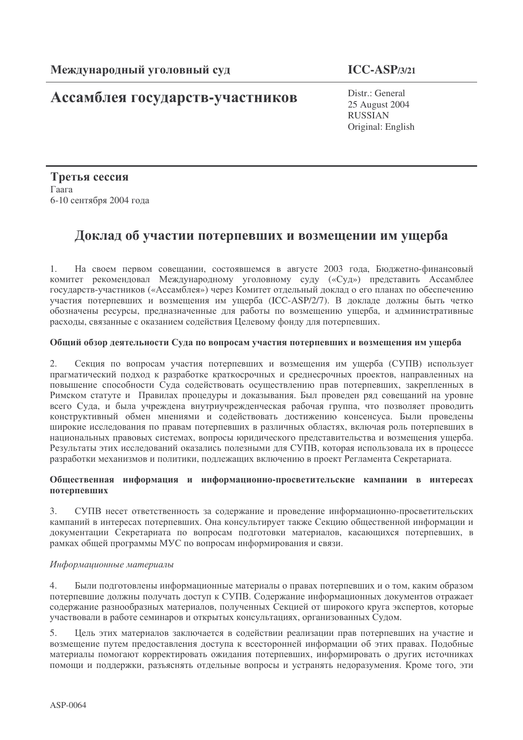# Ассамблея государств-участников

Distr.: General 25 August 2004 **RUSSIAN** Original: English

Третья сессия Гаага 6-10 сентября 2004 года

# Доклад об участии потерпевших и возмещении им ущерба

 $1.$ На своем первом совещании, состоявшемся в августе 2003 года, Бюджетно-финансовый комитет рекомендовал Международному уголовному суду («Суд») представить Ассамблее государств-участников («Ассамблея») через Комитет отдельный доклад о его планах по обеспечению участия потерпевших и возмещения им ущерба (ICC-ASP/2/7). В докладе должны быть четко обозначены ресурсы, предназначенные для работы по возмещению ущерба, и административные расходы, связанные с оказанием содействия Целевому фонду для потерпевших.

## Общий обзор деятельности Суда по вопросам участия потерпевших и возмещения им ущерба

Секция по вопросам участия потерпевших и возмещения им ущерба (СУПВ) использует  $2.$ прагматический подход к разработке краткосрочных и среднесрочных проектов, направленных на повышение способности Суда содействовать осуществлению прав потерпевших, закрепленных в Римском статуте и Правилах процедуры и доказывания. Был проведен ряд совещаний на уровне всего Суда, и была учреждена внутриучрежденческая рабочая группа, что позволяет проводить конструктивный обмен мнениями и содействовать достижению консенсуса. Были проведены широкие исследования по правам потерпевших в различных областях, включая роль потерпевших в национальных правовых системах, вопросы юридического представительства и возмещения ущерба. Результаты этих исследований оказались полезными для СУПВ, которая использовала их в процессе разработки механизмов и политики, подлежащих включению в проект Регламента Секретариата.

# Общественная информация и информационно-просветительские кампании в интересах потерпевших

СУПВ несет ответственность за содержание и проведение информационно-просветительских  $3.$ кампаний в интересах потерпевших. Она консультирует также Секцию общественной информации и документации Секретариата по вопросам подготовки материалов, касающихся потерпевших, в рамках общей программы МУС по вопросам информирования и связи.

## Информационные материалы

 $4.$ Были подготовлены информационные материалы о правах потерпевших и о том, каким образом потерпевшие должны получать доступ к СУПВ. Содержание информационных документов отражает содержание разнообразных материалов, полученных Секцией от широкого круга экспертов, которые участвовали в работе семинаров и открытых консультациях, организованных Судом.

Цель этих материалов заключается в содействии реализации прав потерпевших на участие и 5. возмещение путем предоставления доступа к всесторонней информации об этих правах. Подобные материалы помогают корректировать ожидания потерпевших, информировать о других источниках помощи и поддержки, разъяснять отдельные вопросы и устранять недоразумения. Кроме того, эти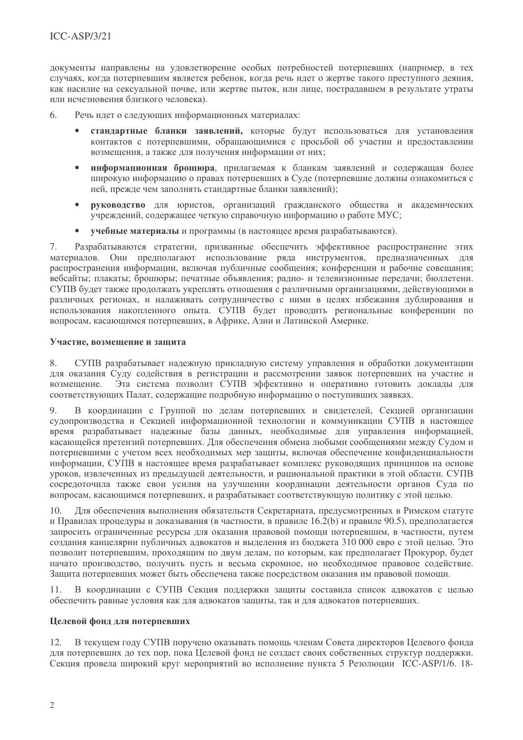документы направлены на удовлетворение особых потребностей потерпевших (например, в тех случаях, когда потерпевшим является ребенок, когда речь идет о жертве такого преступного деяния, как насилие на сексуальной почве, или жертве пыток, или лице, постралавшем в результате утраты или исчезновения близкого человека).

- 6 Речь идет о следующих информационных материалах:
	- стандартные бланки заявлений, которые будут использоваться для установления контактов с потерпевшими, обращающимися с просьбой об участии и предоставлении возмешения, а также для получения информации от них:
	- информационная брошюра, прилагаемая к бланкам заявлений и содержащая более  $\bullet$ широкую информацию о правах потерпевших в Суде (потерпевшие должны ознакомиться с ней, прежде чем заполнять стандартные бланки заявлений);
	- руководство для юристов, организаций гражданского общества и академических  $\bullet$ учреждений, содержащее четкую справочную информацию о работе МУС;
	- учебные материалы и программы (в настоящее время разрабатываются).

Разрабатываются стратегии, призванные обеспечить эффективное распространение этих  $7<sub>1</sub>$ материалов. Они предполагают использование ряда инструментов, предназначенных для распространения информации, включая публичные сообщения; конференции и рабочие совещания; вебсайты: плакаты: брошюры: печатные объявления: ралио- и телевизионные передачи: бюллетени. СУПВ будет также продолжать укреплять отношения с различными организациями, действующими в различных регионах, и налаживать сотрудничество с ними в целях избежания дублирования и использования накопленного опыта. СУПВ будет проводить региональные конференции по вопросам, касающимся потерпевших, в Африке, Азии и Латинской Америке.

#### Участие, возмещение и защита

СУПВ разрабатывает надежную прикладную систему управления и обработки документации 8. для оказания Суду содействия в регистрации и рассмотрении заявок потерпевших на участие и Эта система позволит СУПВ эффективно и оперативно готовить доклады для возмещение. соответствующих Палат, содержащие подробную информацию о поступивших заявках.

В координации с Группой по делам потерпевших и свидетелей, Секцией организации  $Q$ судопроизводства и Секцией информационной технологии и коммуникации СУПВ в настоящее время разрабатывает надежные базы данных, необходимые для управления информацией, касающейся претензий потерпевших. Для обеспечения обмена любыми сообщениями между Судом и потерпевшими с учетом всех необходимых мер защиты, включая обеспечение конфиденциальности информации, СУПВ в настоящее время разрабатывает комплекс руководящих принципов на основе уроков, извлеченных из предыдущей деятельности, и рациональной практики в этой области. СУПВ сосредоточила также свои усилия на улучшении координации деятельности органов Суда по вопросам, касающимся потерпевших, и разрабатывает соответствующую политику с этой целью.

Для обеспечения выполнения обязательств Секретариата, предусмотренных в Римском статуте 10. и Правилах процедуры и доказывания (в частности, в правиле 16.2(b) и правиле 90.5), предполагается запросить ограниченные ресурсы для оказания правовой помощи потерпевшим, в частности, путем создания канцелярии публичных адвокатов и выделения из бюджета 310 000 евро с этой целью. Это позволит потерпевшим, проходящим по двум делам, по которым, как предполагает Прокурор, будет начато производство, получить пусть и весьма скромное, но необходимое правовое содействие. Защита потерпевших может быть обеспечена также посредством оказания им правовой помощи.

11. В координации с СУПВ Секция поддержки защиты составила список адвокатов с целью обеспечить равные условия как для адвокатов защиты, так и для адвокатов потерпевших.

## Целевой фонд для потерпевших

12. В текущем году СУПВ поручено оказывать помощь членам Совета директоров Целевого фонда для потерпевших до тех пор, пока Целевой фонд не создаст своих собственных структур поддержки. Секция провела широкий круг мероприятий во исполнение пункта 5 Резолюции ICC-ASP/1/6. 18-